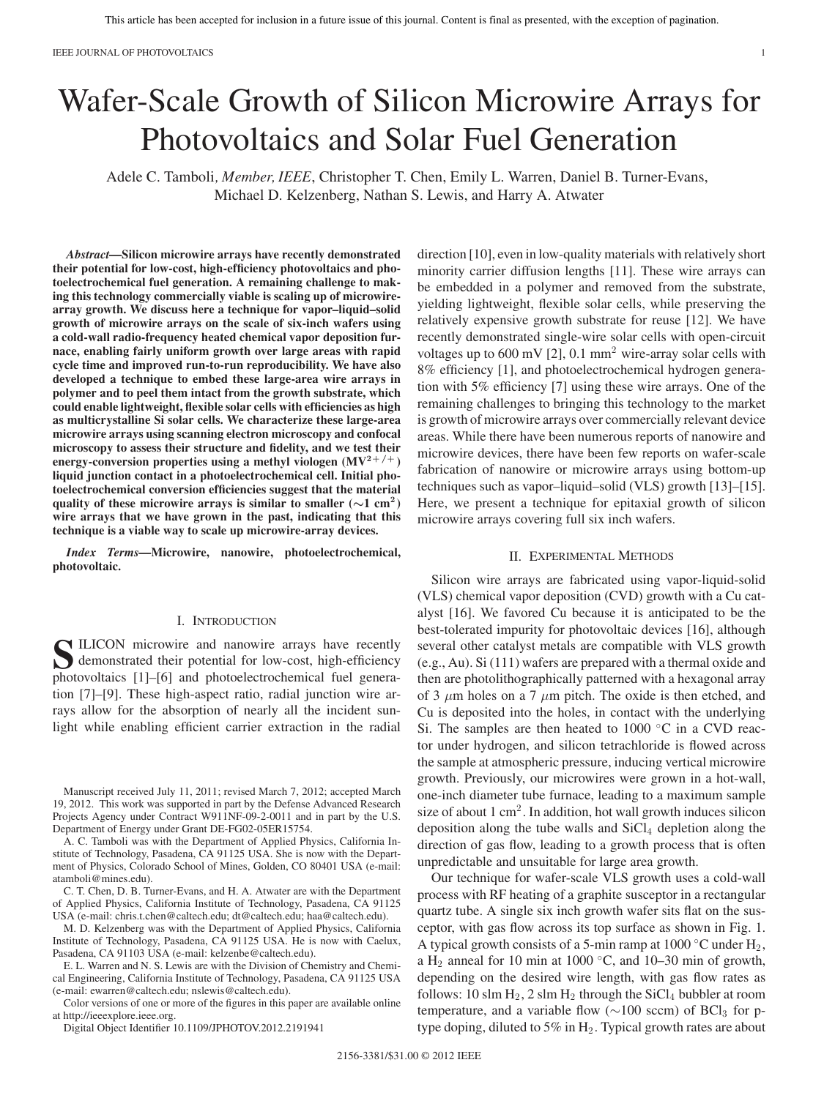IEEE JOURNAL OF PHOTOVOLTAICS 1

# Wafer-Scale Growth of Silicon Microwire Arrays for Photovoltaics and Solar Fuel Generation

Adele C. Tamboli*, Member, IEEE*, Christopher T. Chen, Emily L. Warren, Daniel B. Turner-Evans, Michael D. Kelzenberg, Nathan S. Lewis, and Harry A. Atwater

*Abstract***—Silicon microwire arrays have recently demonstrated their potential for low-cost, high-efficiency photovoltaics and photoelectrochemical fuel generation. A remaining challenge to making this technology commercially viable is scaling up of microwirearray growth. We discuss here a technique for vapor–liquid–solid growth of microwire arrays on the scale of six-inch wafers using a cold-wall radio-frequency heated chemical vapor deposition furnace, enabling fairly uniform growth over large areas with rapid cycle time and improved run-to-run reproducibility. We have also developed a technique to embed these large-area wire arrays in polymer and to peel them intact from the growth substrate, which could enable lightweight, flexible solar cells with efficiencies as high as multicrystalline Si solar cells. We characterize these large-area microwire arrays using scanning electron microscopy and confocal microscopy to assess their structure and fidelity, and we test their energy-conversion properties using a methyl viologen**  $(MV^{2+/+})$ **liquid junction contact in a photoelectrochemical cell. Initial photoelectrochemical conversion efficiencies suggest that the material quality of these microwire arrays is similar to smaller (***∼***1 cm<sup>2</sup> ) wire arrays that we have grown in the past, indicating that this technique is a viable way to scale up microwire-array devices.**

*Index Terms***—Microwire, nanowire, photoelectrochemical, photovoltaic.**

### I. INTRODUCTION

**S**ILICON microwire and nanowire arrays have recently demonstrated their potential for low-cost, high-efficiency photovoltaics [1]–[6] and photoelectrochemical fuel generation [7]–[9]. These high-aspect ratio, radial junction wire arrays allow for the absorption of nearly all the incident sunlight while enabling efficient carrier extraction in the radial

Manuscript received July 11, 2011; revised March 7, 2012; accepted March 19, 2012. This work was supported in part by the Defense Advanced Research Projects Agency under Contract W911NF-09-2-0011 and in part by the U.S. Department of Energy under Grant DE-FG02-05ER15754.

A. C. Tamboli was with the Department of Applied Physics, California Institute of Technology, Pasadena, CA 91125 USA. She is now with the Department of Physics, Colorado School of Mines, Golden, CO 80401 USA (e-mail: atamboli@mines.edu).

C. T. Chen, D. B. Turner-Evans, and H. A. Atwater are with the Department of Applied Physics, California Institute of Technology, Pasadena, CA 91125 USA (e-mail: chris.t.chen@caltech.edu; dt@caltech.edu; haa@caltech.edu).

M. D. Kelzenberg was with the Department of Applied Physics, California Institute of Technology, Pasadena, CA 91125 USA. He is now with Caelux, Pasadena, CA 91103 USA (e-mail: kelzenbe@caltech.edu).

E. L. Warren and N. S. Lewis are with the Division of Chemistry and Chemical Engineering, California Institute of Technology, Pasadena, CA 91125 USA (e-mail: ewarren@caltech.edu; nslewis@caltech.edu).

Color versions of one or more of the figures in this paper are available online at http://ieeexplore.ieee.org.

Digital Object Identifier 10.1109/JPHOTOV.2012.2191941

direction [10], even in low-quality materials with relatively short minority carrier diffusion lengths [11]. These wire arrays can be embedded in a polymer and removed from the substrate, yielding lightweight, flexible solar cells, while preserving the relatively expensive growth substrate for reuse [12]. We have recently demonstrated single-wire solar cells with open-circuit voltages up to 600 mV [2], 0.1 mm<sup>2</sup> wire-array solar cells with 8% efficiency [1], and photoelectrochemical hydrogen generation with 5% efficiency [7] using these wire arrays. One of the remaining challenges to bringing this technology to the market is growth of microwire arrays over commercially relevant device areas. While there have been numerous reports of nanowire and microwire devices, there have been few reports on wafer-scale fabrication of nanowire or microwire arrays using bottom-up techniques such as vapor–liquid–solid (VLS) growth [13]–[15]. Here, we present a technique for epitaxial growth of silicon microwire arrays covering full six inch wafers.

# II. EXPERIMENTAL METHODS

Silicon wire arrays are fabricated using vapor-liquid-solid (VLS) chemical vapor deposition (CVD) growth with a Cu catalyst [16]. We favored Cu because it is anticipated to be the best-tolerated impurity for photovoltaic devices [16], although several other catalyst metals are compatible with VLS growth (e.g., Au). Si (111) wafers are prepared with a thermal oxide and then are photolithographically patterned with a hexagonal array of 3  $\mu$ m holes on a 7  $\mu$ m pitch. The oxide is then etched, and Cu is deposited into the holes, in contact with the underlying Si. The samples are then heated to 1000 ◦C in a CVD reactor under hydrogen, and silicon tetrachloride is flowed across the sample at atmospheric pressure, inducing vertical microwire growth. Previously, our microwires were grown in a hot-wall, one-inch diameter tube furnace, leading to a maximum sample size of about  $1 \text{ cm}^2$ . In addition, hot wall growth induces silicon deposition along the tube walls and  $SiCl<sub>4</sub>$  depletion along the direction of gas flow, leading to a growth process that is often unpredictable and unsuitable for large area growth.

Our technique for wafer-scale VLS growth uses a cold-wall process with RF heating of a graphite susceptor in a rectangular quartz tube. A single six inch growth wafer sits flat on the susceptor, with gas flow across its top surface as shown in Fig. 1. A typical growth consists of a 5-min ramp at 1000 °C under  $H_2$ , a H<sub>2</sub> anneal for 10 min at 1000  $\degree$ C, and 10–30 min of growth, depending on the desired wire length, with gas flow rates as follows: 10 slm  $H_2$ , 2 slm  $H_2$  through the SiCl<sub>4</sub> bubbler at room temperature, and a variable flow ( $\sim$ 100 sccm) of BCl<sub>3</sub> for ptype doping, diluted to 5% in  $H_2$ . Typical growth rates are about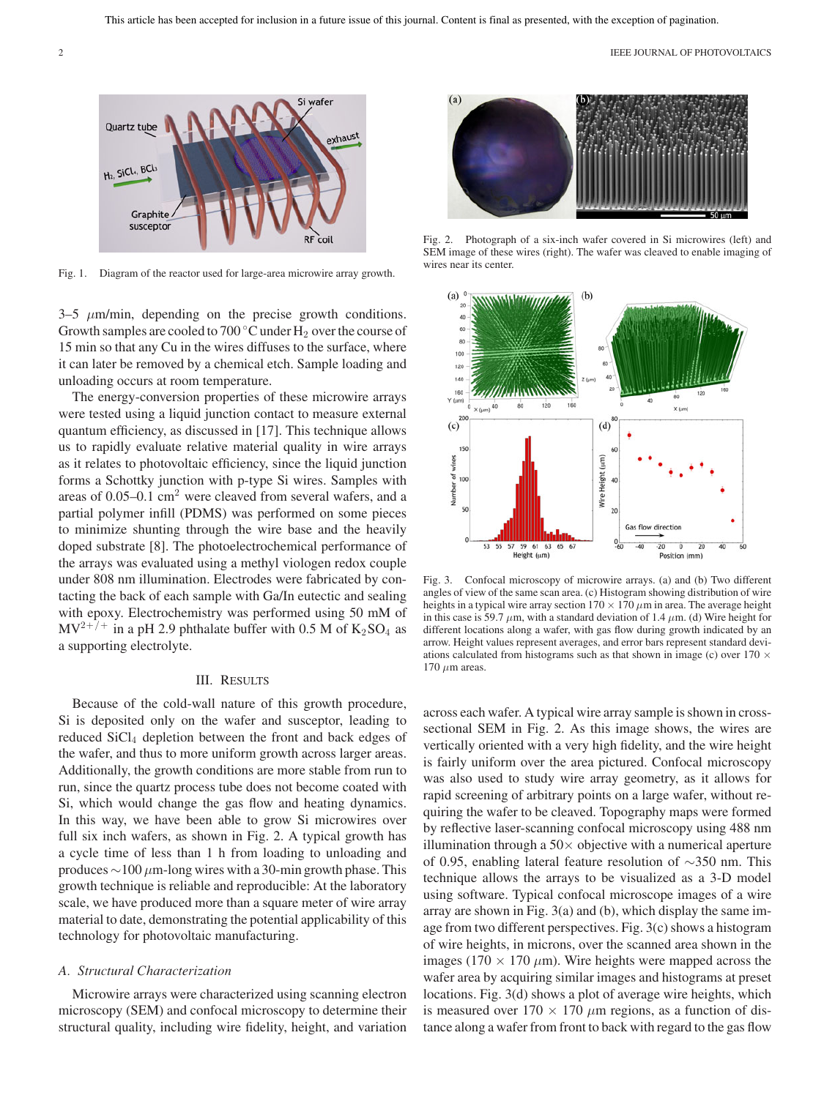

Fig. 1. Diagram of the reactor used for large-area microwire array growth.

 $3-5 \mu$ m/min, depending on the precise growth conditions. Growth samples are cooled to 700  $\degree$ C under H<sub>2</sub> over the course of 15 min so that any Cu in the wires diffuses to the surface, where it can later be removed by a chemical etch. Sample loading and unloading occurs at room temperature.

The energy-conversion properties of these microwire arrays were tested using a liquid junction contact to measure external quantum efficiency, as discussed in [17]. This technique allows us to rapidly evaluate relative material quality in wire arrays as it relates to photovoltaic efficiency, since the liquid junction forms a Schottky junction with p-type Si wires. Samples with areas of  $0.05-0.1$  cm<sup>2</sup> were cleaved from several wafers, and a partial polymer infill (PDMS) was performed on some pieces to minimize shunting through the wire base and the heavily doped substrate [8]. The photoelectrochemical performance of the arrays was evaluated using a methyl viologen redox couple under 808 nm illumination. Electrodes were fabricated by contacting the back of each sample with Ga/In eutectic and sealing with epoxy. Electrochemistry was performed using 50 mM of  $MV^{2+/+}$  in a pH 2.9 phthalate buffer with 0.5 M of  $K_2SO_4$  as a supporting electrolyte.

## III. RESULTS

Because of the cold-wall nature of this growth procedure, Si is deposited only on the wafer and susceptor, leading to reduced SiCl<sup>4</sup> depletion between the front and back edges of the wafer, and thus to more uniform growth across larger areas. Additionally, the growth conditions are more stable from run to run, since the quartz process tube does not become coated with Si, which would change the gas flow and heating dynamics. In this way, we have been able to grow Si microwires over full six inch wafers, as shown in Fig. 2. A typical growth has a cycle time of less than 1 h from loading to unloading and produces  $\sim$ 100  $\mu$ m-long wires with a 30-min growth phase. This growth technique is reliable and reproducible: At the laboratory scale, we have produced more than a square meter of wire array material to date, demonstrating the potential applicability of this technology for photovoltaic manufacturing.

# *A. Structural Characterization*

Microwire arrays were characterized using scanning electron microscopy (SEM) and confocal microscopy to determine their structural quality, including wire fidelity, height, and variation



Fig. 2. Photograph of a six-inch wafer covered in Si microwires (left) and SEM image of these wires (right). The wafer was cleaved to enable imaging of wires near its center.



Fig. 3. Confocal microscopy of microwire arrays. (a) and (b) Two different angles of view of the same scan area. (c) Histogram showing distribution of wire heights in a typical wire array section  $170 \times 170 \,\mu$ m in area. The average height in this case is 59.7  $\mu$ m, with a standard deviation of 1.4  $\mu$ m. (d) Wire height for different locations along a wafer, with gas flow during growth indicated by an arrow. Height values represent averages, and error bars represent standard deviations calculated from histograms such as that shown in image (c) over  $170 \times$  $170 \mu m$  areas.

across each wafer. A typical wire array sample is shown in crosssectional SEM in Fig. 2. As this image shows, the wires are vertically oriented with a very high fidelity, and the wire height is fairly uniform over the area pictured. Confocal microscopy was also used to study wire array geometry, as it allows for rapid screening of arbitrary points on a large wafer, without requiring the wafer to be cleaved. Topography maps were formed by reflective laser-scanning confocal microscopy using 488 nm illumination through a  $50\times$  objective with a numerical aperture of 0.95, enabling lateral feature resolution of ∼350 nm. This technique allows the arrays to be visualized as a 3-D model using software. Typical confocal microscope images of a wire array are shown in Fig. 3(a) and (b), which display the same image from two different perspectives. Fig. 3(c) shows a histogram of wire heights, in microns, over the scanned area shown in the images ( $170 \times 170 \mu$ m). Wire heights were mapped across the wafer area by acquiring similar images and histograms at preset locations. Fig. 3(d) shows a plot of average wire heights, which is measured over  $170 \times 170 \mu m$  regions, as a function of distance along a wafer from front to back with regard to the gas flow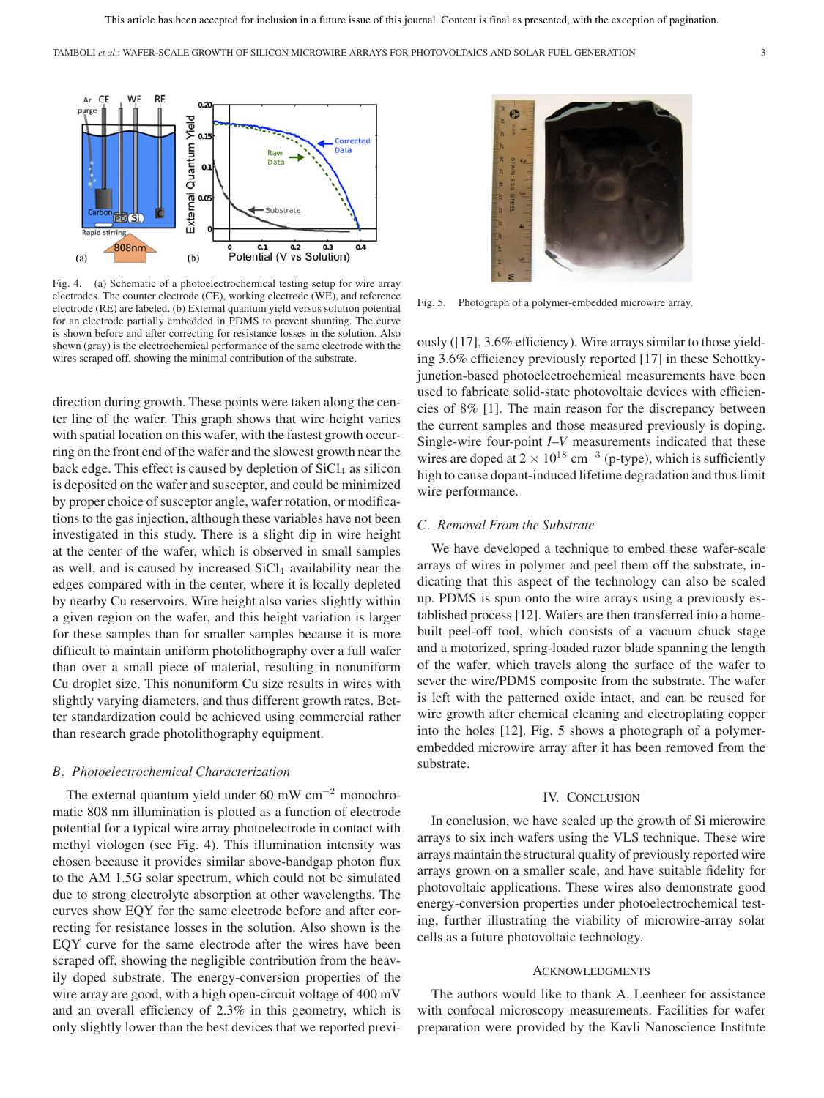

Fig. 4. (a) Schematic of a photoelectrochemical testing setup for wire array electrodes. The counter electrode (CE), working electrode (WE), and reference electrode (RE) are labeled. (b) External quantum yield versus solution potential for an electrode partially embedded in PDMS to prevent shunting. The curve is shown before and after correcting for resistance losses in the solution. Also shown (gray) is the electrochemical performance of the same electrode with the wires scraped off, showing the minimal contribution of the substrate.

direction during growth. These points were taken along the center line of the wafer. This graph shows that wire height varies with spatial location on this wafer, with the fastest growth occurring on the front end of the wafer and the slowest growth near the back edge. This effect is caused by depletion of  $SiCl<sub>4</sub>$  as silicon is deposited on the wafer and susceptor, and could be minimized by proper choice of susceptor angle, wafer rotation, or modifications to the gas injection, although these variables have not been investigated in this study. There is a slight dip in wire height at the center of the wafer, which is observed in small samples as well, and is caused by increased  $SiCl<sub>4</sub>$  availability near the edges compared with in the center, where it is locally depleted by nearby Cu reservoirs. Wire height also varies slightly within a given region on the wafer, and this height variation is larger for these samples than for smaller samples because it is more difficult to maintain uniform photolithography over a full wafer than over a small piece of material, resulting in nonuniform Cu droplet size. This nonuniform Cu size results in wires with slightly varying diameters, and thus different growth rates. Better standardization could be achieved using commercial rather than research grade photolithography equipment.

#### *B. Photoelectrochemical Characterization*

The external quantum yield under 60 mW cm<sup>−</sup><sup>2</sup> monochromatic 808 nm illumination is plotted as a function of electrode potential for a typical wire array photoelectrode in contact with methyl viologen (see Fig. 4). This illumination intensity was chosen because it provides similar above-bandgap photon flux to the AM 1.5G solar spectrum, which could not be simulated due to strong electrolyte absorption at other wavelengths. The curves show EQY for the same electrode before and after correcting for resistance losses in the solution. Also shown is the EQY curve for the same electrode after the wires have been scraped off, showing the negligible contribution from the heavily doped substrate. The energy-conversion properties of the wire array are good, with a high open-circuit voltage of 400 mV and an overall efficiency of 2.3% in this geometry, which is only slightly lower than the best devices that we reported previ-



Fig. 5. Photograph of a polymer-embedded microwire array.

ously ([17], 3.6% efficiency). Wire arrays similar to those yielding 3.6% efficiency previously reported [17] in these Schottkyjunction-based photoelectrochemical measurements have been used to fabricate solid-state photovoltaic devices with efficiencies of 8% [1]. The main reason for the discrepancy between the current samples and those measured previously is doping. Single-wire four-point *I*–*V* measurements indicated that these wires are doped at  $2 \times 10^{18}$  cm<sup>-3</sup> (p-type), which is sufficiently high to cause dopant-induced lifetime degradation and thus limit wire performance.

# *C. Removal From the Substrate*

We have developed a technique to embed these wafer-scale arrays of wires in polymer and peel them off the substrate, indicating that this aspect of the technology can also be scaled up. PDMS is spun onto the wire arrays using a previously established process [12]. Wafers are then transferred into a homebuilt peel-off tool, which consists of a vacuum chuck stage and a motorized, spring-loaded razor blade spanning the length of the wafer, which travels along the surface of the wafer to sever the wire/PDMS composite from the substrate. The wafer is left with the patterned oxide intact, and can be reused for wire growth after chemical cleaning and electroplating copper into the holes [12]. Fig. 5 shows a photograph of a polymerembedded microwire array after it has been removed from the substrate.

## IV. CONCLUSION

In conclusion, we have scaled up the growth of Si microwire arrays to six inch wafers using the VLS technique. These wire arrays maintain the structural quality of previously reported wire arrays grown on a smaller scale, and have suitable fidelity for photovoltaic applications. These wires also demonstrate good energy-conversion properties under photoelectrochemical testing, further illustrating the viability of microwire-array solar cells as a future photovoltaic technology.

#### **ACKNOWLEDGMENTS**

The authors would like to thank A. Leenheer for assistance with confocal microscopy measurements. Facilities for wafer preparation were provided by the Kavli Nanoscience Institute